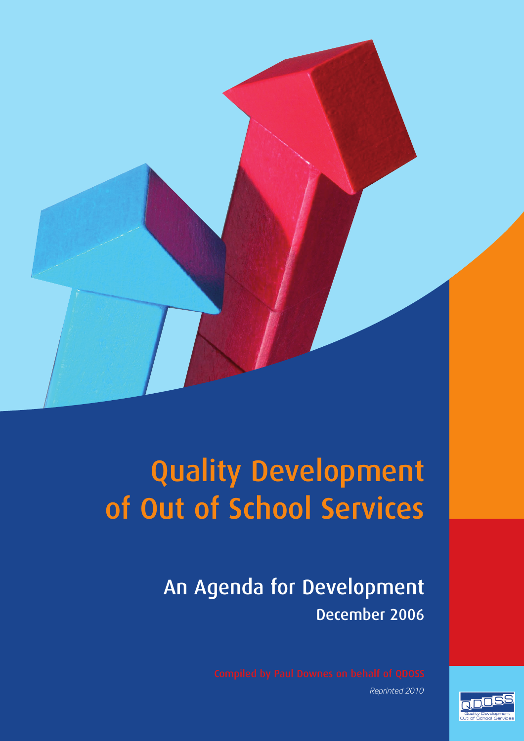

# Quality Development of Out of School Services

## An Agenda for Development December 2006

*Reprinted 2010*

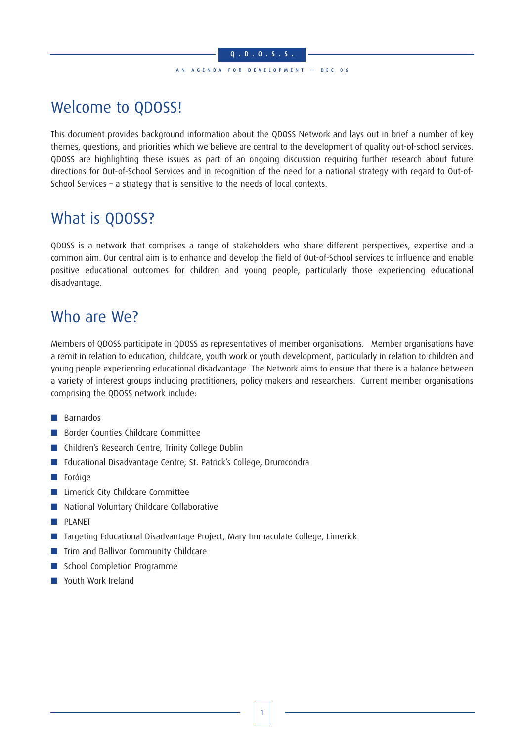### Q.D.O.S.S . AN AGENDA FOR DEVELOPMENT — DEC 06

## Welcome to QDOSS!

This document provides background information about the QDOSS Network and lays out in brief a number of key themes, questions, and priorities which we believe are central to the development of quality out-of-school services. QDOSS are highlighting these issues as part of an ongoing discussion requiring further research about future directions for Out-of-School Services and in recognition of the need for a national strategy with regard to Out-of-School Services – a strategy that is sensitive to the needs of local contexts.

### What is QDOSS?

QDOSS is a network that comprises a range of stakeholders who share different perspectives, expertise and a common aim. Our central aim is to enhance and develop the field of Out-of-School services to influence and enable positive educational outcomes for children and young people, particularly those experiencing educational disadvantage.

### Who are We?

Members of QDOSS participate in QDOSS as representatives of member organisations. Member organisations have a remit in relation to education, childcare, youth work or youth development, particularly in relation to children and young people experiencing educational disadvantage. The Network aims to ensure that there is a balance between a variety of interest groups including practitioners, policy makers and researchers. Current member organisations comprising the QDOSS network include:

- Barnardos
- Border Counties Childcare Committee
- Children's Research Centre, Trinity College Dublin
- Educational Disadvantage Centre, St. Patrick's College, Drumcondra
- Foróige
- Limerick City Childcare Committee
- National Voluntary Childcare Collaborative
- **PLANET**
- Targeting Educational Disadvantage Project, Mary Immaculate College, Limerick
- Trim and Ballivor Community Childcare
- School Completion Programme
- Youth Work Ireland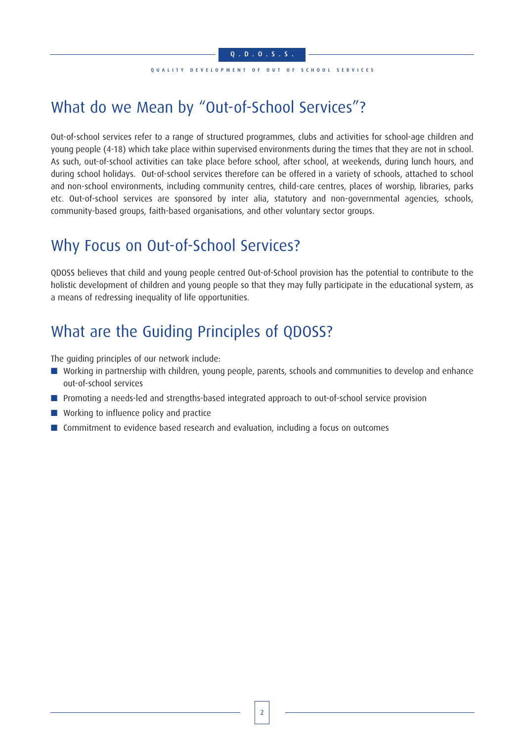#### QUALITY DEVELOPMENT OF OUT OF SCHOOL SERVICES

## What do we Mean by "Out-of-School Services"?

Out-of-school services refer to a range of structured programmes, clubs and activities for school-age children and young people (4-18) which take place within supervised environments during the times that they are not in school. As such, out-of-school activities can take place before school, after school, at weekends, during lunch hours, and during school holidays. Out-of-school services therefore can be offered in a variety of schools, attached to school and non-school environments, including community centres, child-care centres, places of worship, libraries, parks etc. Out-of-school services are sponsored by inter alia, statutory and non-governmental agencies, schools, community-based groups, faith-based organisations, and other voluntary sector groups.

### Why Focus on Out-of-School Services?

QDOSS believes that child and young people centred Out-of-School provision has the potential to contribute to the holistic development of children and young people so that they may fully participate in the educational system, as a means of redressing inequality of life opportunities.

## What are the Guiding Principles of QDOSS?

The guiding principles of our network include:

- Working in partnership with children, young people, parents, schools and communities to develop and enhance out-of-school services
- Promoting a needs-led and strengths-based integrated approach to out-of-school service provision
- Working to influence policy and practice
- Commitment to evidence based research and evaluation, including a focus on outcomes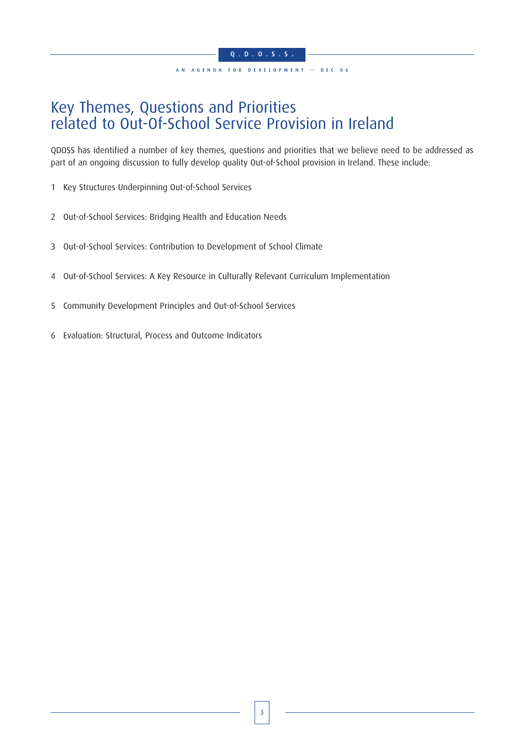### Key Themes, Questions and Priorities related to Out-Of-School Service Provision in Ireland

QDOSS has identified a number of key themes, questions and priorities that we believe need to be addressed as part of an ongoing discussion to fully develop quality Out-of-School provision in Ireland. These include:

- 1 Key Structures Underpinning Out-of-School Services
- 2 Out-of-School Services: Bridging Health and Education Needs
- 3 Out-of-School Services: Contribution to Development of School Climate
- 4 Out-of-School Services: A Key Resource in Culturally Relevant Curriculum Implementation
- 5 Community Development Principles and Out-of-School Services
- 6 Evaluation: Structural, Process and Outcome Indicators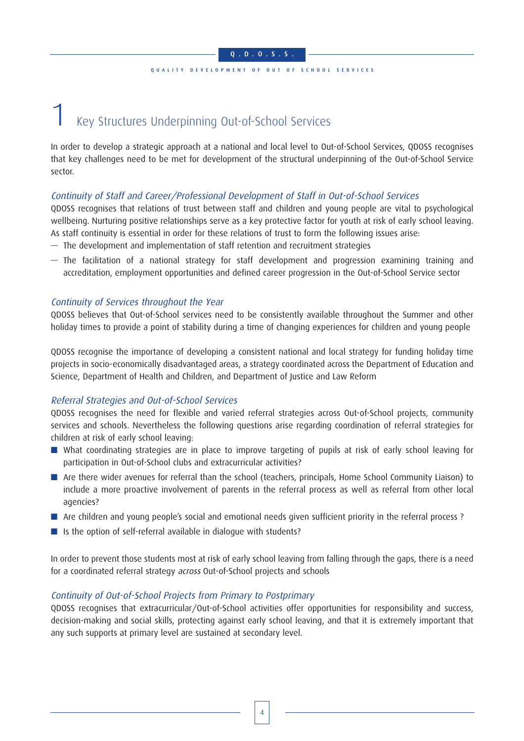### QUALITY DEVELOPMENT OF OUT OF SCHOOL SERVICES

## 1 Key Structures Underpinning Out-of-School Services

In order to develop a strategic approach at a national and local level to Out-of-School Services, QDOSS recognises that key challenges need to be met for development of the structural underpinning of the Out-of-School Service sector.

### Continuity of Staff and Career/Professional Development of Staff in Out-of-School Services

QDOSS recognises that relations of trust between staff and children and young people are vital to psychological wellbeing. Nurturing positive relationships serve as a key protective factor for youth at risk of early school leaving. As staff continuity is essential in order for these relations of trust to form the following issues arise:

- The development and implementation of staff retention and recruitment strategies
- The facilitation of a national strategy for staff development and progression examining training and accreditation, employment opportunities and defined career progression in the Out-of-School Service sector

### Continuity of Services throughout the Year

QDOSS believes that Out-of-School services need to be consistently available throughout the Summer and other holiday times to provide a point of stability during a time of changing experiences for children and young people

QDOSS recognise the importance of developing a consistent national and local strategy for funding holiday time projects in socio-economically disadvantaged areas, a strategy coordinated across the Department of Education and Science, Department of Health and Children, and Department of Justice and Law Reform

### Referral Strategies and Out-of-School Services

QDOSS recognises the need for flexible and varied referral strategies across Out-of-School projects, community services and schools. Nevertheless the following questions arise regarding coordination of referral strategies for children at risk of early school leaving:

- What coordinating strategies are in place to improve targeting of pupils at risk of early school leaving for participation in Out-of-School clubs and extracurricular activities?
- Are there wider avenues for referral than the school (teachers, principals, Home School Community Liaison) to include a more proactive involvement of parents in the referral process as well as referral from other local agencies?
- Are children and young people's social and emotional needs given sufficient priority in the referral process ?
- Is the option of self-referral available in dialogue with students?

In order to prevent those students most at risk of early school leaving from falling through the gaps, there is a need for a coordinated referral strategy across Out-of-School projects and schools

### Continuity of Out-of-School Projects from Primary to Postprimary

QDOSS recognises that extracurricular/Out-of-School activities offer opportunities for responsibility and success, decision-making and social skills, protecting against early school leaving, and that it is extremely important that any such supports at primary level are sustained at secondary level.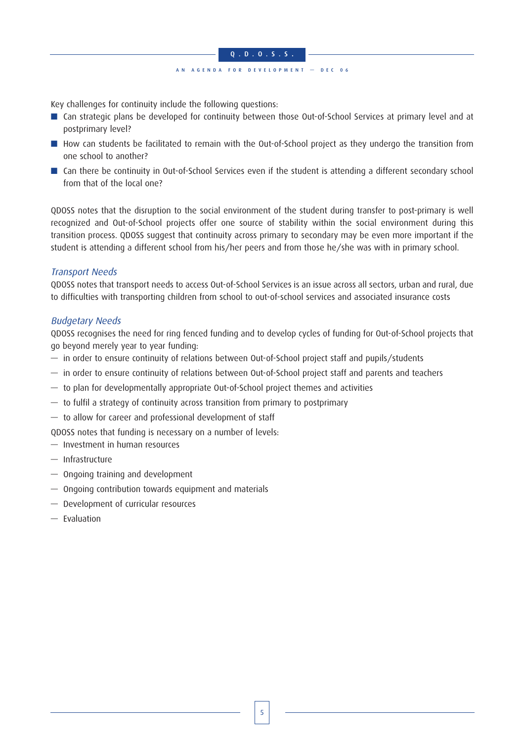### Q.D.O.S.S . AN AGENDA FOR DEVELOPMENT — DEC 06

Key challenges for continuity include the following questions:

- Can strategic plans be developed for continuity between those Out-of-School Services at primary level and at postprimary level?
- How can students be facilitated to remain with the Out-of-School project as they undergo the transition from one school to another?
- Can there be continuity in Out-of-School Services even if the student is attending a different secondary school from that of the local one?

QDOSS notes that the disruption to the social environment of the student during transfer to post-primary is well recognized and Out-of-School projects offer one source of stability within the social environment during this transition process. QDOSS suggest that continuity across primary to secondary may be even more important if the student is attending a different school from his/her peers and from those he/she was with in primary school.

### Transport Needs

QDOSS notes that transport needs to access Out-of-School Services is an issue across all sectors, urban and rural, due to difficulties with transporting children from school to out-of-school services and associated insurance costs

### Budgetary Needs

QDOSS recognises the need for ring fenced funding and to develop cycles of funding for Out-of-School projects that go beyond merely year to year funding:

- in order to ensure continuity of relations between Out-of-School project staff and pupils/students
- in order to ensure continuity of relations between Out-of-School project staff and parents and teachers
- to plan for developmentally appropriate Out-of-School project themes and activities
- to fulfil a strategy of continuity across transition from primary to postprimary
- to allow for career and professional development of staff

QDOSS notes that funding is necessary on a number of levels:

- Investment in human resources
- Infrastructure
- Ongoing training and development
- Ongoing contribution towards equipment and materials
- Development of curricular resources
- Evaluation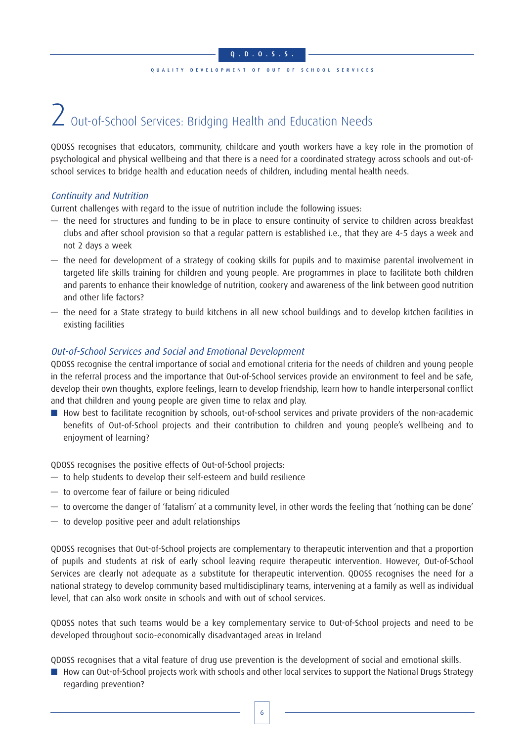### QUALITY DEVELOPMENT OF OUT OF SCHOOL SERVICES

# 2 Out-of-School Services: Bridging Health and Education Needs

QDOSS recognises that educators, community, childcare and youth workers have a key role in the promotion of psychological and physical wellbeing and that there is a need for a coordinated strategy across schools and out-ofschool services to bridge health and education needs of children, including mental health needs.

### Continuity and Nutrition

Current challenges with regard to the issue of nutrition include the following issues:

- the need for structures and funding to be in place to ensure continuity of service to children across breakfast clubs and after school provision so that a regular pattern is established i.e., that they are 4-5 days a week and not 2 days a week
- the need for development of a strategy of cooking skills for pupils and to maximise parental involvement in targeted life skills training for children and young people. Are programmes in place to facilitate both children and parents to enhance their knowledge of nutrition, cookery and awareness of the link between good nutrition and other life factors?
- the need for a State strategy to build kitchens in all new school buildings and to develop kitchen facilities in existing facilities

### Out-of-School Services and Social and Emotional Development

QDOSS recognise the central importance of social and emotional criteria for the needs of children and young people in the referral process and the importance that Out-of-School services provide an environment to feel and be safe, develop their own thoughts, explore feelings, learn to develop friendship, learn how to handle interpersonal conflict and that children and young people are given time to relax and play.

■ How best to facilitate recognition by schools, out-of-school services and private providers of the non-academic benefits of Out-of-School projects and their contribution to children and young people's wellbeing and to enjoyment of learning?

QDOSS recognises the positive effects of Out-of-School projects:

- to help students to develop their self-esteem and build resilience
- to overcome fear of failure or being ridiculed
- to overcome the danger of 'fatalism' at a community level, in other words the feeling that 'nothing can be done'
- to develop positive peer and adult relationships

QDOSS recognises that Out-of-School projects are complementary to therapeutic intervention and that a proportion of pupils and students at risk of early school leaving require therapeutic intervention. However, Out-of-School Services are clearly not adequate as a substitute for therapeutic intervention. QDOSS recognises the need for a national strategy to develop community based multidisciplinary teams, intervening at a family as well as individual level, that can also work onsite in schools and with out of school services.

QDOSS notes that such teams would be a key complementary service to Out-of-School projects and need to be developed throughout socio-economically disadvantaged areas in Ireland

QDOSS recognises that a vital feature of drug use prevention is the development of social and emotional skills.

■ How can Out-of-School projects work with schools and other local services to support the National Drugs Strategy regarding prevention?

6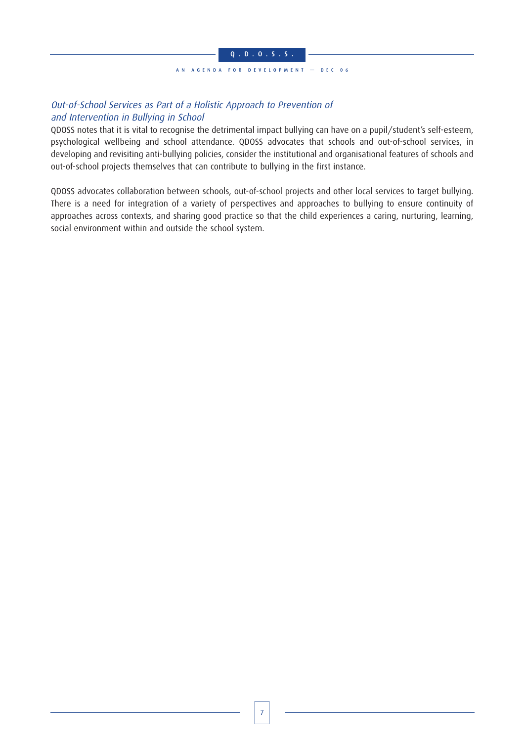#### AN AGENDA FOR DEVELOPMENT — DEC 06

### Out-of-School Services as Part of a Holistic Approach to Prevention of and Intervention in Bullying in School

QDOSS notes that it is vital to recognise the detrimental impact bullying can have on a pupil/student's self-esteem, psychological wellbeing and school attendance. QDOSS advocates that schools and out-of-school services, in developing and revisiting anti-bullying policies, consider the institutional and organisational features of schools and out-of-school projects themselves that can contribute to bullying in the first instance.

QDOSS advocates collaboration between schools, out-of-school projects and other local services to target bullying. There is a need for integration of a variety of perspectives and approaches to bullying to ensure continuity of approaches across contexts, and sharing good practice so that the child experiences a caring, nurturing, learning, social environment within and outside the school system.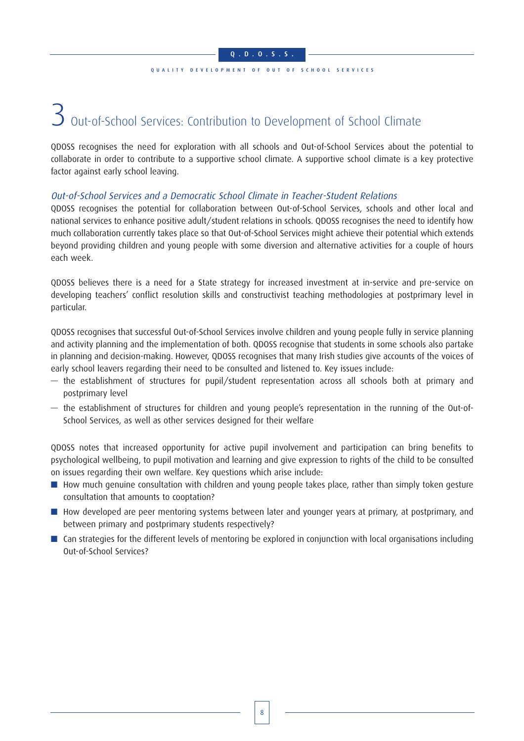### QUALITY DEVELOPMENT OF OUT OF SCHOOL SERVICES

# 3 Out-of-School Services: Contribution to Development of School Climate

QDOSS recognises the need for exploration with all schools and Out-of-School Services about the potential to collaborate in order to contribute to a supportive school climate. A supportive school climate is a key protective factor against early school leaving.

### Out-of-School Services and a Democratic School Climate in Teacher-Student Relations

QDOSS recognises the potential for collaboration between Out-of-School Services, schools and other local and national services to enhance positive adult/student relations in schools. QDOSS recognises the need to identify how much collaboration currently takes place so that Out-of-School Services might achieve their potential which extends beyond providing children and young people with some diversion and alternative activities for a couple of hours each week.

QDOSS believes there is a need for a State strategy for increased investment at in-service and pre-service on developing teachers' conflict resolution skills and constructivist teaching methodologies at postprimary level in particular.

QDOSS recognises that successful Out-of-School Services involve children and young people fully in service planning and activity planning and the implementation of both. QDOSS recognise that students in some schools also partake in planning and decision-making. However, QDOSS recognises that many Irish studies give accounts of the voices of early school leavers regarding their need to be consulted and listened to. Key issues include:

- the establishment of structures for pupil/student representation across all schools both at primary and postprimary level
- the establishment of structures for children and young people's representation in the running of the Out-of-School Services, as well as other services designed for their welfare

QDOSS notes that increased opportunity for active pupil involvement and participation can bring benefits to psychological wellbeing, to pupil motivation and learning and give expression to rights of the child to be consulted on issues regarding their own welfare. Key questions which arise include:

- How much genuine consultation with children and young people takes place, rather than simply token gesture consultation that amounts to cooptation?
- How developed are peer mentoring systems between later and younger years at primary, at postprimary, and between primary and postprimary students respectively?
- Can strategies for the different levels of mentoring be explored in conjunction with local organisations including Out-of-School Services?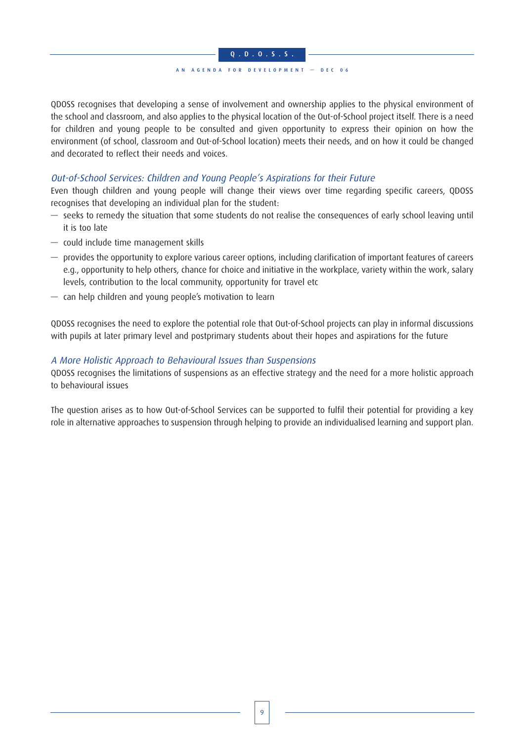### AN AGENDA FOR DEVELOPMENT — DEC 06

QDOSS recognises that developing a sense of involvement and ownership applies to the physical environment of the school and classroom, and also applies to the physical location of the Out-of-School project itself. There is a need for children and young people to be consulted and given opportunity to express their opinion on how the environment (of school, classroom and Out-of-School location) meets their needs, and on how it could be changed and decorated to reflect their needs and voices.

### Out-of-School Services: Children and Young People's Aspirations for their Future

Even though children and young people will change their views over time regarding specific careers, QDOSS recognises that developing an individual plan for the student:

- seeks to remedy the situation that some students do not realise the consequences of early school leaving until it is too late
- could include time management skills
- provides the opportunity to explore various career options, including clarification of important features of careers e.g., opportunity to help others, chance for choice and initiative in the workplace, variety within the work, salary levels, contribution to the local community, opportunity for travel etc
- can help children and young people's motivation to learn

QDOSS recognises the need to explore the potential role that Out-of-School projects can play in informal discussions with pupils at later primary level and postprimary students about their hopes and aspirations for the future

### A More Holistic Approach to Behavioural Issues than Suspensions

QDOSS recognises the limitations of suspensions as an effective strategy and the need for a more holistic approach to behavioural issues

The question arises as to how Out-of-School Services can be supported to fulfil their potential for providing a key role in alternative approaches to suspension through helping to provide an individualised learning and support plan.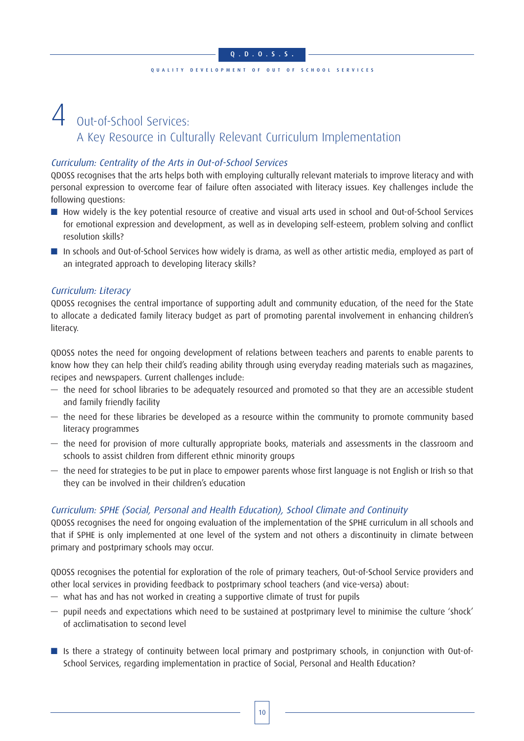### QUALITY DEVELOPMENT OF OUT OF SCHOOL SERVICES

### Out-of-School Services: A Key Resource in Culturally Relevant Curriculum Implementation

### Curriculum: Centrality of the Arts in Out-of-School Services

QDOSS recognises that the arts helps both with employing culturally relevant materials to improve literacy and with personal expression to overcome fear of failure often associated with literacy issues. Key challenges include the following questions:

- How widely is the key potential resource of creative and visual arts used in school and Out-of-School Services for emotional expression and development, as well as in developing self-esteem, problem solving and conflict resolution skills?
- In schools and Out-of-School Services how widely is drama, as well as other artistic media, employed as part of an integrated approach to developing literacy skills?

### Curriculum: Literacy

QDOSS recognises the central importance of supporting adult and community education, of the need for the State to allocate a dedicated family literacy budget as part of promoting parental involvement in enhancing children's literacy.

QDOSS notes the need for ongoing development of relations between teachers and parents to enable parents to know how they can help their child's reading ability through using everyday reading materials such as magazines, recipes and newspapers. Current challenges include:

- the need for school libraries to be adequately resourced and promoted so that they are an accessible student and family friendly facility
- the need for these libraries be developed as a resource within the community to promote community based literacy programmes
- the need for provision of more culturally appropriate books, materials and assessments in the classroom and schools to assist children from different ethnic minority groups
- the need for strategies to be put in place to empower parents whose first language is not English or Irish so that they can be involved in their children's education

### Curriculum: SPHE (Social, Personal and Health Education), School Climate and Continuity

QDOSS recognises the need for ongoing evaluation of the implementation of the SPHE curriculum in all schools and that if SPHE is only implemented at one level of the system and not others a discontinuity in climate between primary and postprimary schools may occur.

QDOSS recognises the potential for exploration of the role of primary teachers, Out-of-School Service providers and other local services in providing feedback to postprimary school teachers (and vice-versa) about:

- what has and has not worked in creating a supportive climate of trust for pupils
- pupil needs and expectations which need to be sustained at postprimary level to minimise the culture 'shock' of acclimatisation to second level
- Is there a strategy of continuity between local primary and postprimary schools, in conjunction with Out-of-School Services, regarding implementation in practice of Social, Personal and Health Education?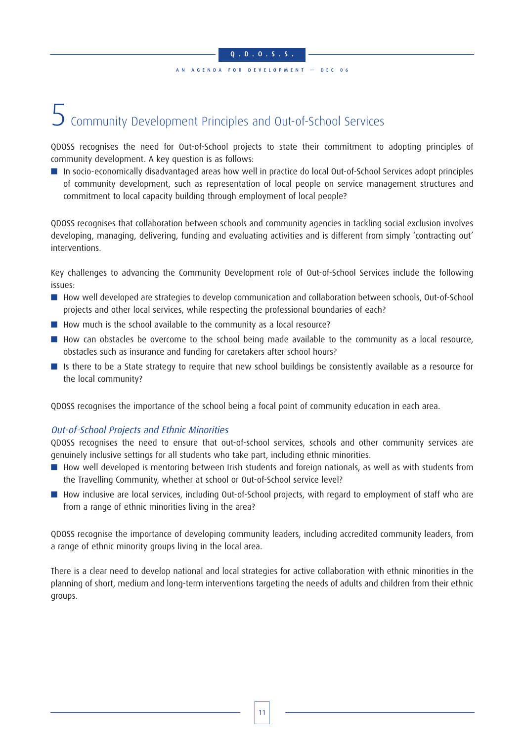### Q.D.O.S.S . AN AGENDA FOR DEVELOPMENT — DEC 06

## $5$  Community Development Principles and Out-of-School Services

QDOSS recognises the need for Out-of-School projects to state their commitment to adopting principles of community development. A key question is as follows:

■ In socio-economically disadvantaged areas how well in practice do local Out-of-School Services adopt principles of community development, such as representation of local people on service management structures and commitment to local capacity building through employment of local people?

QDOSS recognises that collaboration between schools and community agencies in tackling social exclusion involves developing, managing, delivering, funding and evaluating activities and is different from simply 'contracting out' interventions.

Key challenges to advancing the Community Development role of Out-of-School Services include the following issues:

- How well developed are strategies to develop communication and collaboration between schools, Out-of-School projects and other local services, while respecting the professional boundaries of each?
- How much is the school available to the community as a local resource?
- How can obstacles be overcome to the school being made available to the community as a local resource, obstacles such as insurance and funding for caretakers after school hours?
- Is there to be a State strategy to require that new school buildings be consistently available as a resource for the local community?

QDOSS recognises the importance of the school being a focal point of community education in each area.

### Out-of-School Projects and Ethnic Minorities

QDOSS recognises the need to ensure that out-of-school services, schools and other community services are genuinely inclusive settings for all students who take part, including ethnic minorities.

- How well developed is mentoring between Irish students and foreign nationals, as well as with students from the Travelling Community, whether at school or Out-of-School service level?
- How inclusive are local services, including Out-of-School projects, with regard to employment of staff who are from a range of ethnic minorities living in the area?

QDOSS recognise the importance of developing community leaders, including accredited community leaders, from a range of ethnic minority groups living in the local area.

There is a clear need to develop national and local strategies for active collaboration with ethnic minorities in the planning of short, medium and long-term interventions targeting the needs of adults and children from their ethnic groups.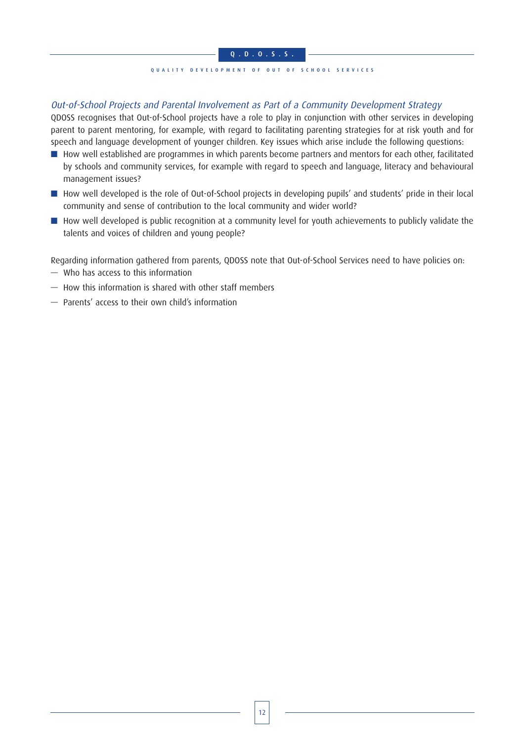### QUALITY DEVELOPMENT OF OUT OF SCHOOL SERVICES

### Out-of-School Projects and Parental Involvement as Part of a Community Development Strategy

QDOSS recognises that Out-of-School projects have a role to play in conjunction with other services in developing parent to parent mentoring, for example, with regard to facilitating parenting strategies for at risk youth and for speech and language development of younger children. Key issues which arise include the following questions:

- How well established are programmes in which parents become partners and mentors for each other, facilitated by schools and community services, for example with regard to speech and language, literacy and behavioural management issues?
- How well developed is the role of Out-of-School projects in developing pupils' and students' pride in their local community and sense of contribution to the local community and wider world?
- How well developed is public recognition at a community level for youth achievements to publicly validate the talents and voices of children and young people?

Regarding information gathered from parents, QDOSS note that Out-of-School Services need to have policies on:

- Who has access to this information
- How this information is shared with other staff members
- Parents' access to their own child's information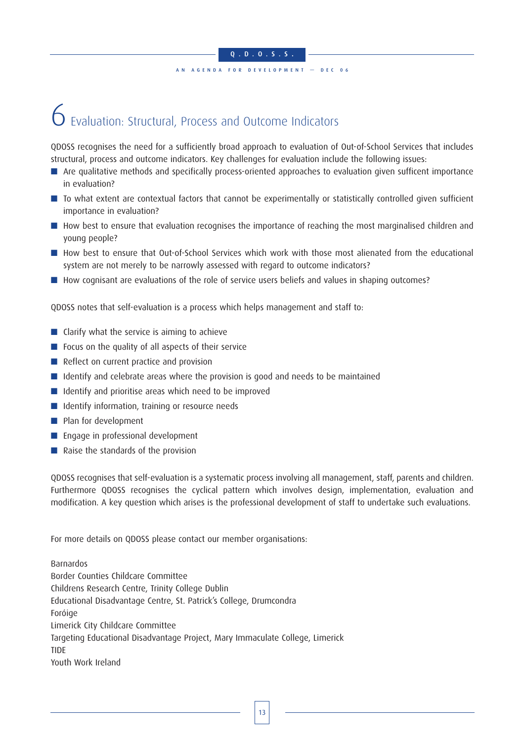### AN AGENDA FOR DEVELOPMENT — DEC 06

## $6$  Fvaluation: Structural, Process and Outcome Indicators

QDOSS recognises the need for a sufficiently broad approach to evaluation of Out-of-School Services that includes structural, process and outcome indicators. Key challenges for evaluation include the following issues:

- Are qualitative methods and specifically process-oriented approaches to evaluation given sufficent importance in evaluation?
- To what extent are contextual factors that cannot be experimentally or statistically controlled given sufficient importance in evaluation?
- How best to ensure that evaluation recognises the importance of reaching the most marginalised children and young people?
- How best to ensure that Out-of-School Services which work with those most alienated from the educational system are not merely to be narrowly assessed with regard to outcome indicators?
- How cognisant are evaluations of the role of service users beliefs and values in shaping outcomes?

QDOSS notes that self-evaluation is a process which helps management and staff to:

- Clarify what the service is aiming to achieve
- Focus on the quality of all aspects of their service
- Reflect on current practice and provision
- Identify and celebrate areas where the provision is good and needs to be maintained
- Identify and prioritise areas which need to be improved
- Identify information, training or resource needs
- Plan for development
- Engage in professional development
- Raise the standards of the provision

QDOSS recognises that self-evaluation is a systematic process involving all management, staff, parents and children. Furthermore QDOSS recognises the cyclical pattern which involves design, implementation, evaluation and modification. A key question which arises is the professional development of staff to undertake such evaluations.

For more details on QDOSS please contact our member organisations:

Barnardos Border Counties Childcare Committee Childrens Research Centre, Trinity College Dublin Educational Disadvantage Centre, St. Patrick's College, Drumcondra Foróige Limerick City Childcare Committee Targeting Educational Disadvantage Project, Mary Immaculate College, Limerick TIDE Youth Work Ireland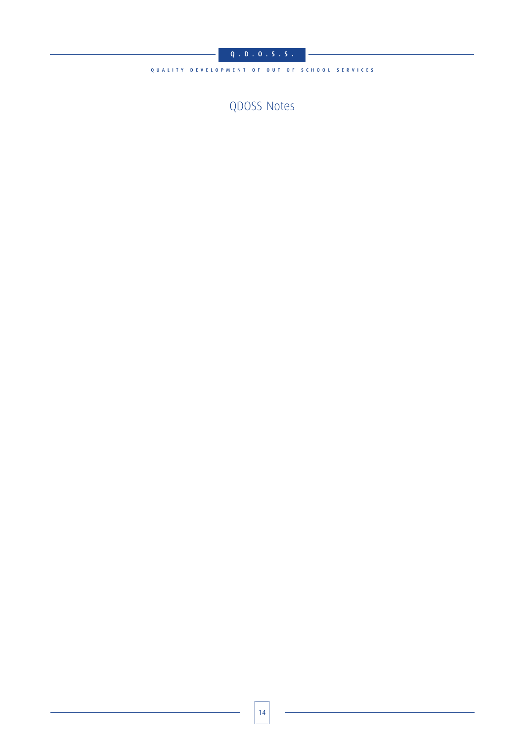### $Q$  ,  $D$  ,  $Q$  ,  $S$  ,  $S$  ,

QUALITY DEVELOPMENT OF OUT OF SCHOOL SERVICES

QDOSS Notes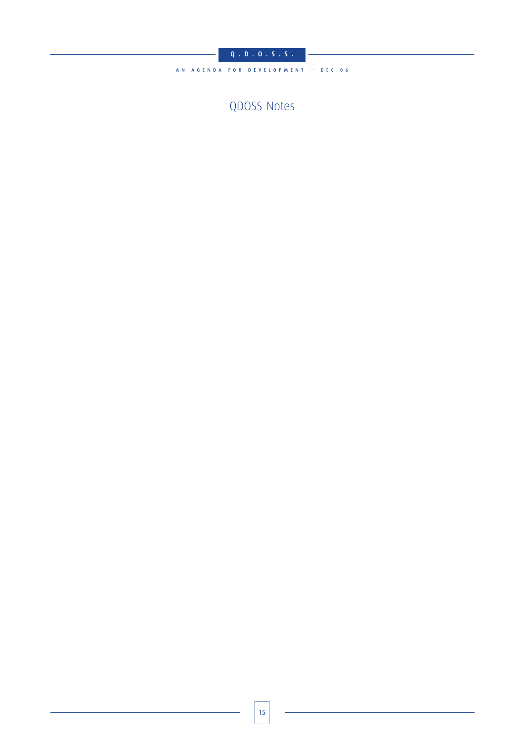$Q$  ,  $D$  ,  $Q$  ,  $S$  ,  $S$  ,

AN AGENDA FOR DEVELOPMENT - DEC 06

QDOSS Notes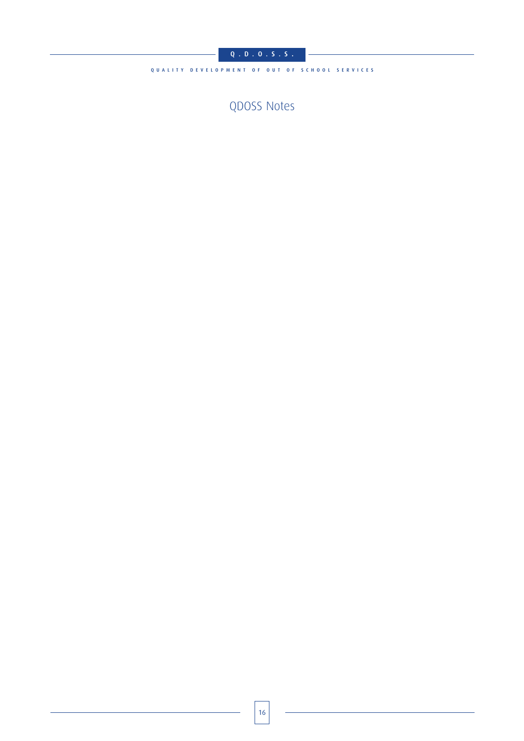### $Q$  ,  $D$  ,  $Q$  ,  $S$  ,  $S$  ,

QUALITY DEVELOPMENT OF OUT OF SCHOOL SERVICES

QDOSS Notes